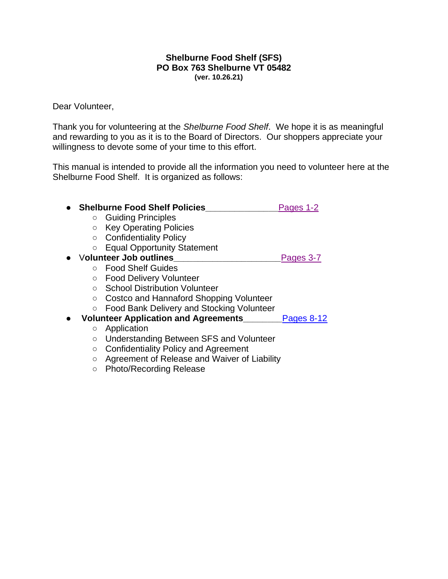#### **Shelburne Food Shelf (SFS) PO Box 763 Shelburne VT 05482 (ver. 10.26.21)**

#### Dear Volunteer,

Thank you for volunteering at the *Shelburne Food Shelf*. We hope it is as meaningful and rewarding to you as it is to the Board of Directors. Our shoppers appreciate your willingness to devote some of your time to this effort.

This manual is intended to provide all the information you need to volunteer here at the Shelburne Food Shelf. It is organized as follows:

| <b>Shelburne Food Shelf Policies</b>               | Pages 1-2         |
|----------------------------------------------------|-------------------|
| <b>Guiding Principles</b>                          |                   |
| <b>Key Operating Policies</b>                      |                   |
| <b>Confidentiality Policy</b><br>$\circ$           |                   |
| <b>Equal Opportunity Statement</b>                 |                   |
| <b>Volunteer Job outlines</b>                      | Pages 3-7         |
| ○ Food Shelf Guides                                |                   |
| <b>Food Delivery Volunteer</b><br>O                |                   |
| <b>School Distribution Volunteer</b>               |                   |
| Costco and Hannaford Shopping Volunteer<br>$\circ$ |                   |
| Food Bank Delivery and Stocking Volunteer          |                   |
| <b>Volunteer Application and Agreements</b>        | <b>Pages 8-12</b> |
| Application<br>$\circ$                             |                   |
| Understanding Between SFS and Volunteer<br>O       |                   |
| <b>Confidentiality Policy and Agreement</b><br>O   |                   |
| Agreement of Release and Waiver of Liability       |                   |

○ Photo/Recording Release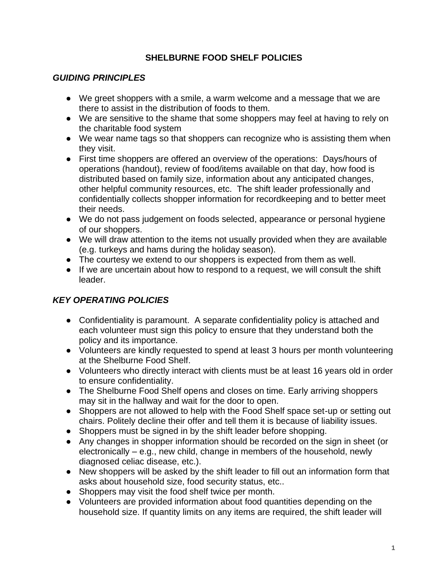# **SHELBURNE FOOD SHELF POLICIES**

## <span id="page-1-0"></span>*GUIDING PRINCIPLES*

- We greet shoppers with a smile, a warm welcome and a message that we are there to assist in the distribution of foods to them.
- We are sensitive to the shame that some shoppers may feel at having to rely on the charitable food system
- We wear name tags so that shoppers can recognize who is assisting them when they visit.
- First time shoppers are offered an overview of the operations: Days/hours of operations (handout), review of food/items available on that day, how food is distributed based on family size, information about any anticipated changes, other helpful community resources, etc. The shift leader professionally and confidentially collects shopper information for recordkeeping and to better meet their needs.
- We do not pass judgement on foods selected, appearance or personal hygiene of our shoppers.
- We will draw attention to the items not usually provided when they are available (e.g. turkeys and hams during the holiday season).
- The courtesy we extend to our shoppers is expected from them as well.
- If we are uncertain about how to respond to a request, we will consult the shift leader.

# *KEY OPERATING POLICIES*

- Confidentiality is paramount. A separate confidentiality policy is attached and each volunteer must sign this policy to ensure that they understand both the policy and its importance.
- Volunteers are kindly requested to spend at least 3 hours per month volunteering at the Shelburne Food Shelf.
- Volunteers who directly interact with clients must be at least 16 years old in order to ensure confidentiality.
- The Shelburne Food Shelf opens and closes on time. Early arriving shoppers may sit in the hallway and wait for the door to open.
- Shoppers are not allowed to help with the Food Shelf space set-up or setting out chairs. Politely decline their offer and tell them it is because of liability issues.
- Shoppers must be signed in by the shift leader before shopping.
- Any changes in shopper information should be recorded on the sign in sheet (or electronically – e.g., new child, change in members of the household, newly diagnosed celiac disease, etc.).
- New shoppers will be asked by the shift leader to fill out an information form that asks about household size, food security status, etc..
- Shoppers may visit the food shelf twice per month.
- Volunteers are provided information about food quantities depending on the household size. If quantity limits on any items are required, the shift leader will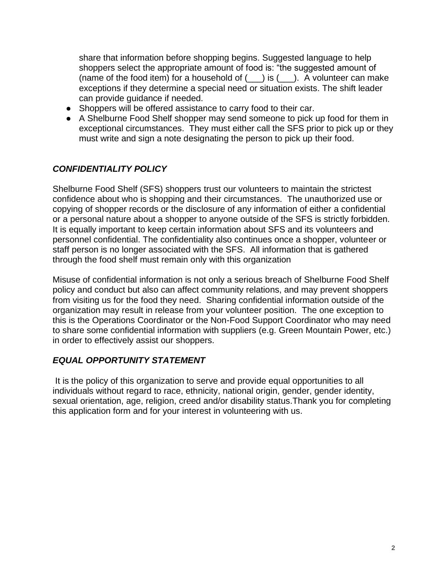share that information before shopping begins. Suggested language to help shoppers select the appropriate amount of food is: "the suggested amount of (name of the food item) for a household of  $($  ) is  $($  ). A volunteer can make exceptions if they determine a special need or situation exists. The shift leader can provide guidance if needed.

- Shoppers will be offered assistance to carry food to their car.
- A Shelburne Food Shelf shopper may send someone to pick up food for them in exceptional circumstances. They must either call the SFS prior to pick up or they must write and sign a note designating the person to pick up their food.

# *CONFIDENTIALITY POLICY*

Shelburne Food Shelf (SFS) shoppers trust our volunteers to maintain the strictest confidence about who is shopping and their circumstances. The unauthorized use or copying of shopper records or the disclosure of any information of either a confidential or a personal nature about a shopper to anyone outside of the SFS is strictly forbidden. It is equally important to keep certain information about SFS and its volunteers and personnel confidential. The confidentiality also continues once a shopper, volunteer or staff person is no longer associated with the SFS. All information that is gathered through the food shelf must remain only with this organization

Misuse of confidential information is not only a serious breach of Shelburne Food Shelf policy and conduct but also can affect community relations, and may prevent shoppers from visiting us for the food they need. Sharing confidential information outside of the organization may result in release from your volunteer position. The one exception to this is the Operations Coordinator or the Non-Food Support Coordinator who may need to share some confidential information with suppliers (e.g. Green Mountain Power, etc.) in order to effectively assist our shoppers.

## *EQUAL OPPORTUNITY STATEMENT*

It is the policy of this organization to serve and provide equal opportunities to all individuals without regard to race, ethnicity, national origin, gender, gender identity, sexual orientation, age, religion, creed and/or disability status.Thank you for completing this application form and for your interest in volunteering with us.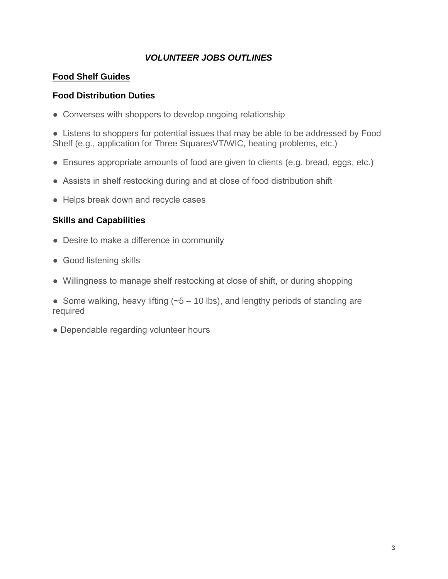# <span id="page-3-0"></span> *VOLUNTEER JOBS OUTLINES*

### **Food Shelf Guides**

#### **Food Distribution Duties**

• Converses with shoppers to develop ongoing relationship

• Listens to shoppers for potential issues that may be able to be addressed by Food Shelf (e.g., application for Three SquaresVT/WIC, heating problems, etc.)

- Ensures appropriate amounts of food are given to clients (e.g. bread, eggs, etc.)
- Assists in shelf restocking during and at close of food distribution shift
- Helps break down and recycle cases

- Desire to make a difference in community
- Good listening skills
- Willingness to manage shelf restocking at close of shift, or during shopping
- Some walking, heavy lifting ( $-5 10$  lbs), and lengthy periods of standing are required
- Dependable regarding volunteer hours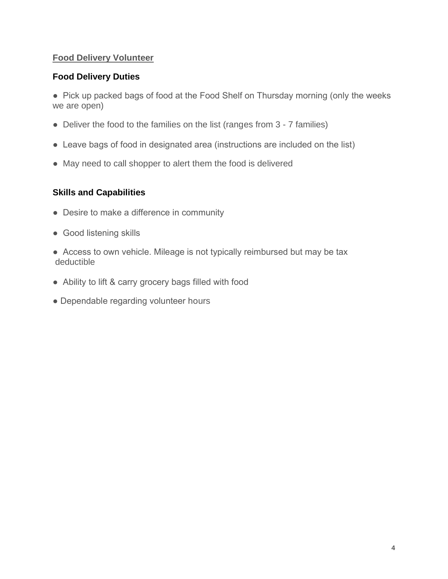## **Food Delivery Volunteer**

#### **Food Delivery Duties**

● Pick up packed bags of food at the Food Shelf on Thursday morning (only the weeks we are open)

- Deliver the food to the families on the list (ranges from 3 7 families)
- Leave bags of food in designated area (instructions are included on the list)
- May need to call shopper to alert them the food is delivered

- Desire to make a difference in community
- Good listening skills
- Access to own vehicle. Mileage is not typically reimbursed but may be tax deductible
- Ability to lift & carry grocery bags filled with food
- Dependable regarding volunteer hours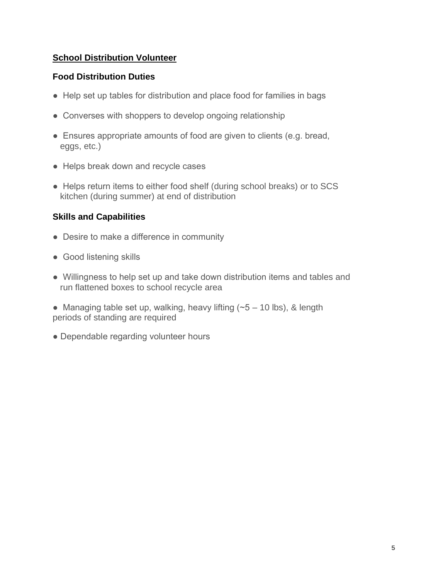# **School Distribution Volunteer**

## **Food Distribution Duties**

- Help set up tables for distribution and place food for families in bags
- Converses with shoppers to develop ongoing relationship
- Ensures appropriate amounts of food are given to clients (e.g. bread, eggs, etc.)
- Helps break down and recycle cases
- Helps return items to either food shelf (during school breaks) or to SCS kitchen (during summer) at end of distribution

- Desire to make a difference in community
- Good listening skills
- Willingness to help set up and take down distribution items and tables and run flattened boxes to school recycle area
- Managing table set up, walking, heavy lifting  $(-5 10$  lbs), & length periods of standing are required
- Dependable regarding volunteer hours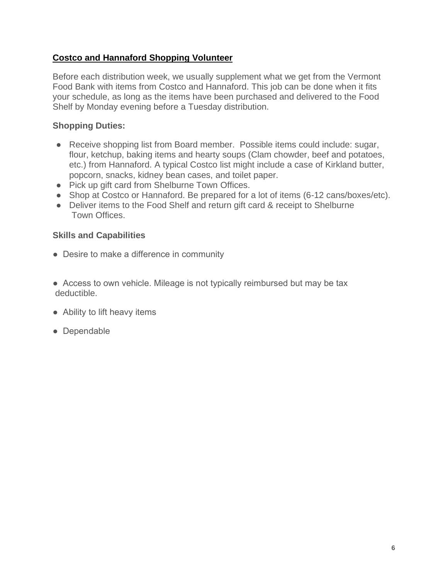## **Costco and Hannaford Shopping Volunteer**

Before each distribution week, we usually supplement what we get from the Vermont Food Bank with items from Costco and Hannaford. This job can be done when it fits your schedule, as long as the items have been purchased and delivered to the Food Shelf by Monday evening before a Tuesday distribution.

# **Shopping Duties:**

- Receive shopping list from Board member. Possible items could include: sugar, flour, ketchup, baking items and hearty soups (Clam chowder, beef and potatoes, etc.) from Hannaford. A typical Costco list might include a case of Kirkland butter, popcorn, snacks, kidney bean cases, and toilet paper.
- Pick up gift card from Shelburne Town Offices.
- Shop at Costco or Hannaford. Be prepared for a lot of items (6-12 cans/boxes/etc).
- Deliver items to the Food Shelf and return gift card & receipt to Shelburne Town Offices.

- Desire to make a difference in community
- Access to own vehicle. Mileage is not typically reimbursed but may be tax deductible.
- Ability to lift heavy items
- Dependable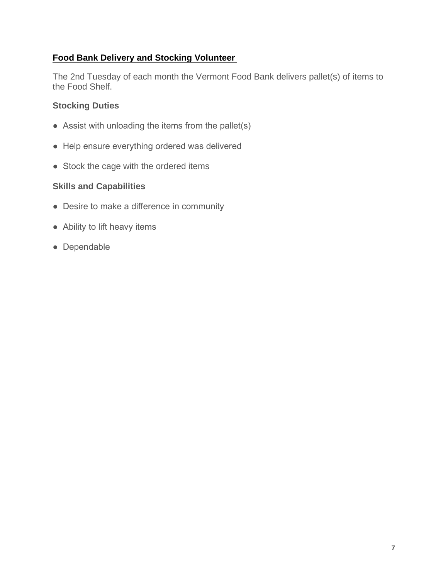# **Food Bank Delivery and Stocking Volunteer**

The 2nd Tuesday of each month the Vermont Food Bank delivers pallet(s) of items to the Food Shelf.

# **Stocking Duties**

- $\bullet$  Assist with unloading the items from the pallet(s)
- Help ensure everything ordered was delivered
- Stock the cage with the ordered items

- Desire to make a difference in community
- Ability to lift heavy items
- Dependable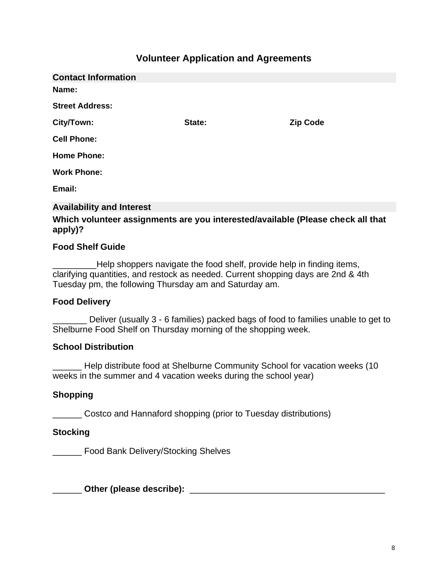# **Volunteer Application and Agreements**

<span id="page-8-0"></span>

| <b>Contact Information</b> |        |                 |
|----------------------------|--------|-----------------|
| Name:                      |        |                 |
| <b>Street Address:</b>     |        |                 |
| City/Town:                 | State: | <b>Zip Code</b> |
| <b>Cell Phone:</b>         |        |                 |
| <b>Home Phone:</b>         |        |                 |
| <b>Work Phone:</b>         |        |                 |
| Email:                     |        |                 |
|                            |        |                 |

#### **Availability and Interest**

#### **Which volunteer assignments are you interested/available (Please check all that apply)?**

#### **Food Shelf Guide**

\_\_\_\_\_\_\_\_\_Help shoppers navigate the food shelf, provide help in finding items, clarifying quantities, and restock as needed. Current shopping days are 2nd & 4th Tuesday pm, the following Thursday am and Saturday am.

#### **Food Delivery**

Deliver (usually 3 - 6 families) packed bags of food to families unable to get to Shelburne Food Shelf on Thursday morning of the shopping week.

#### **School Distribution**

\_\_\_\_\_\_ Help distribute food at Shelburne Community School for vacation weeks (10 weeks in the summer and 4 vacation weeks during the school year)

#### **Shopping**

\_\_\_\_\_\_ Costco and Hannaford shopping (prior to Tuesday distributions)

#### **Stocking**

\_\_\_\_\_\_ Food Bank Delivery/Stocking Shelves

\_\_\_\_\_\_ **Other (please describe):** \_\_\_\_\_\_\_\_\_\_\_\_\_\_\_\_\_\_\_\_\_\_\_\_\_\_\_\_\_\_\_\_\_\_\_\_\_\_\_\_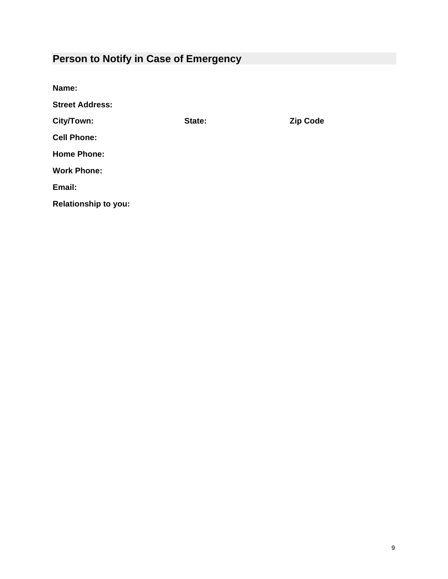# **Person to Notify in Case of Emergency**

| Name:                       |        |                 |
|-----------------------------|--------|-----------------|
| <b>Street Address:</b>      |        |                 |
| City/Town:                  | State: | <b>Zip Code</b> |
| <b>Cell Phone:</b>          |        |                 |
| <b>Home Phone:</b>          |        |                 |
| <b>Work Phone:</b>          |        |                 |
| Email:                      |        |                 |
| <b>Relationship to you:</b> |        |                 |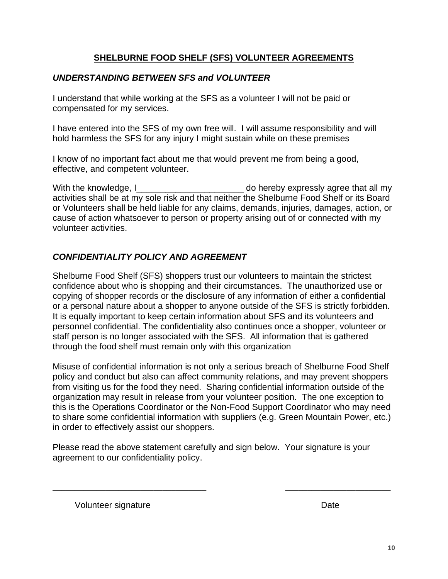# **SHELBURNE FOOD SHELF (SFS) VOLUNTEER AGREEMENTS**

# *UNDERSTANDING BETWEEN SFS and VOLUNTEER*

I understand that while working at the SFS as a volunteer I will not be paid or compensated for my services.

I have entered into the SFS of my own free will. I will assume responsibility and will hold harmless the SFS for any injury I might sustain while on these premises

I know of no important fact about me that would prevent me from being a good, effective, and competent volunteer.

With the knowledge, I can be a set of the domestic domestic system of the knowledge, I activities shall be at my sole risk and that neither the Shelburne Food Shelf or its Board or Volunteers shall be held liable for any claims, demands, injuries, damages, action, or cause of action whatsoever to person or property arising out of or connected with my volunteer activities.

# *CONFIDENTIALITY POLICY AND AGREEMENT*

Shelburne Food Shelf (SFS) shoppers trust our volunteers to maintain the strictest confidence about who is shopping and their circumstances. The unauthorized use or copying of shopper records or the disclosure of any information of either a confidential or a personal nature about a shopper to anyone outside of the SFS is strictly forbidden. It is equally important to keep certain information about SFS and its volunteers and personnel confidential. The confidentiality also continues once a shopper, volunteer or staff person is no longer associated with the SFS. All information that is gathered through the food shelf must remain only with this organization

Misuse of confidential information is not only a serious breach of Shelburne Food Shelf policy and conduct but also can affect community relations, and may prevent shoppers from visiting us for the food they need. Sharing confidential information outside of the organization may result in release from your volunteer position. The one exception to this is the Operations Coordinator or the Non-Food Support Coordinator who may need to share some confidential information with suppliers (e.g. Green Mountain Power, etc.) in order to effectively assist our shoppers.

Please read the above statement carefully and sign below. Your signature is your agreement to our confidentiality policy.

\_\_\_\_\_\_\_\_\_\_\_\_\_\_\_\_\_\_\_\_\_\_\_\_\_\_\_\_\_\_\_\_\_\_\_ \_\_\_\_\_\_\_\_\_\_\_\_\_\_\_\_\_\_\_\_\_\_\_\_

Volunteer signature Date Date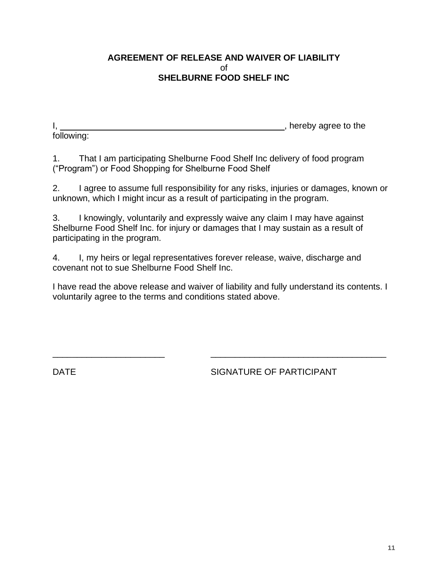#### **AGREEMENT OF RELEASE AND WAIVER OF LIABILITY** of **SHELBURNE FOOD SHELF INC**

following:

I, \_\_\_\_\_\_\_\_\_\_\_\_\_\_\_\_\_\_\_\_\_\_\_\_\_\_\_\_\_\_\_\_\_\_\_\_\_\_\_\_\_\_\_\_\_\_, hereby agree to the

1. That I am participating Shelburne Food Shelf Inc delivery of food program ("Program") or Food Shopping for Shelburne Food Shelf

2. I agree to assume full responsibility for any risks, injuries or damages, known or unknown, which I might incur as a result of participating in the program.

3. I knowingly, voluntarily and expressly waive any claim I may have against Shelburne Food Shelf Inc. for injury or damages that I may sustain as a result of participating in the program.

4. I, my heirs or legal representatives forever release, waive, discharge and covenant not to sue Shelburne Food Shelf Inc.

I have read the above release and waiver of liability and fully understand its contents. I voluntarily agree to the terms and conditions stated above.

 $\overline{\phantom{a}}$  , and the contract of the contract of the contract of the contract of the contract of the contract of the contract of the contract of the contract of the contract of the contract of the contract of the contrac

DATE SIGNATURE OF PARTICIPANT